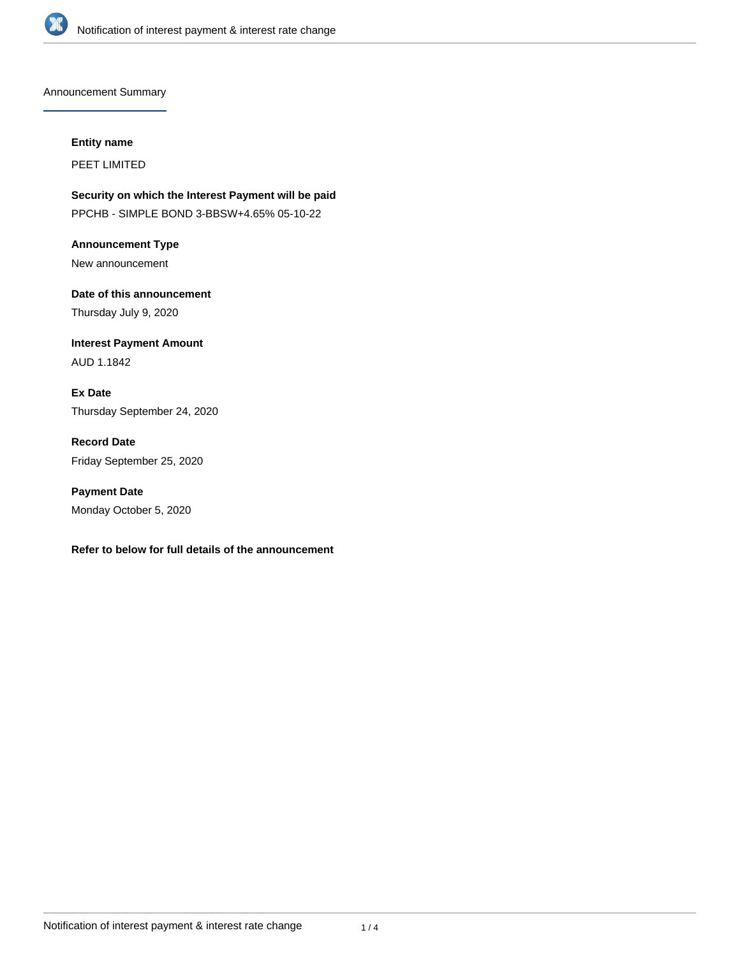

Announcement Summary

#### **Entity name**

PEET LIMITED

**Security on which the Interest Payment will be paid** PPCHB - SIMPLE BOND 3-BBSW+4.65% 05-10-22

**Announcement Type** New announcement

**Date of this announcement** Thursday July 9, 2020

**Interest Payment Amount** AUD 1.1842

**Ex Date** Thursday September 24, 2020

**Record Date** Friday September 25, 2020

**Payment Date** Monday October 5, 2020

## **Refer to below for full details of the announcement**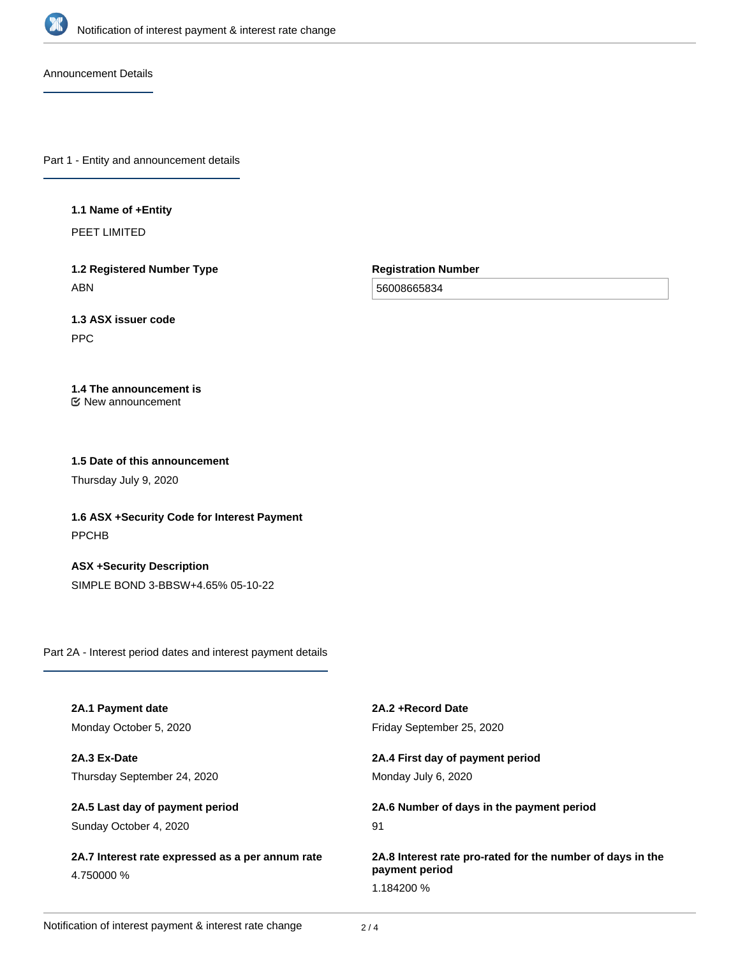

Announcement Details

Part 1 - Entity and announcement details

#### **1.1 Name of +Entity**

PEET LIMITED

**1.2 Registered Number Type** ABN

**Registration Number**

56008665834

# **1.3 ASX issuer code**

PPC

# **1.4 The announcement is**

New announcement

### **1.5 Date of this announcement**

Thursday July 9, 2020

**1.6 ASX +Security Code for Interest Payment** PPCHB

**ASX +Security Description** SIMPLE BOND 3-BBSW+4.65% 05-10-22

Part 2A - Interest period dates and interest payment details

| 2A.1 Payment date                                              | 2A.2 + Record Date                                         |
|----------------------------------------------------------------|------------------------------------------------------------|
| Monday October 5, 2020                                         | Friday September 25, 2020                                  |
| 2A.3 Ex-Date                                                   | 2A.4 First day of payment period                           |
| Thursday September 24, 2020                                    | Monday July 6, 2020                                        |
| 2A.5 Last day of payment period                                | 2A.6 Number of days in the payment period                  |
| Sunday October 4, 2020                                         | 91                                                         |
| 2A.7 Interest rate expressed as a per annum rate<br>4.750000 % | 2A.8 Interest rate pro-rated for the number of days in the |
|                                                                | payment period                                             |
|                                                                | 1.184200 %                                                 |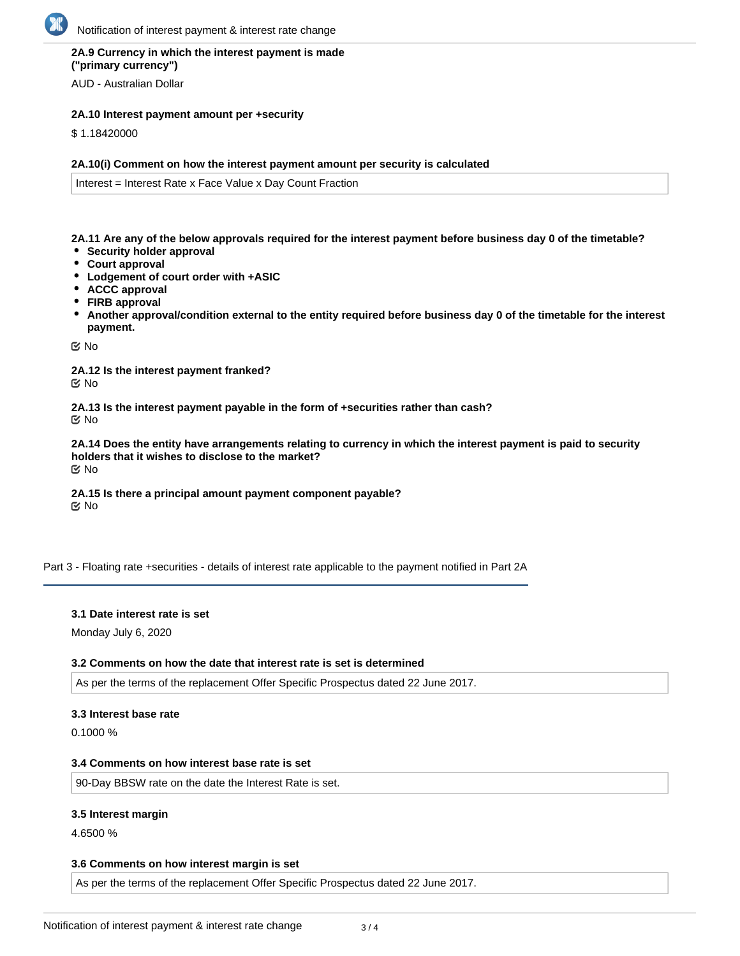## **2A.9 Currency in which the interest payment is made ("primary currency")**

AUD - Australian Dollar

## **2A.10 Interest payment amount per +security**

\$ 1.18420000

#### **2A.10(i) Comment on how the interest payment amount per security is calculated**

Interest = Interest Rate x Face Value x Day Count Fraction

**2A.11 Are any of the below approvals required for the interest payment before business day 0 of the timetable?**

- **Security holder approval**
- **Court approval**
- **Lodgement of court order with +ASIC**
- **ACCC approval**
- **FIRB approval**
- **Another approval/condition external to the entity required before business day 0 of the timetable for the interest payment.**

No

**2A.12 Is the interest payment franked?** No

**2A.13 Is the interest payment payable in the form of +securities rather than cash?** No

**2A.14 Does the entity have arrangements relating to currency in which the interest payment is paid to security holders that it wishes to disclose to the market?** No

**2A.15 Is there a principal amount payment component payable? K** No

Part 3 - Floating rate +securities - details of interest rate applicable to the payment notified in Part 2A

#### **3.1 Date interest rate is set**

Monday July 6, 2020

#### **3.2 Comments on how the date that interest rate is set is determined**

As per the terms of the replacement Offer Specific Prospectus dated 22 June 2017.

#### **3.3 Interest base rate**

0.1000 %

#### **3.4 Comments on how interest base rate is set**

90-Day BBSW rate on the date the Interest Rate is set.

#### **3.5 Interest margin**

4.6500 %

#### **3.6 Comments on how interest margin is set**

As per the terms of the replacement Offer Specific Prospectus dated 22 June 2017.